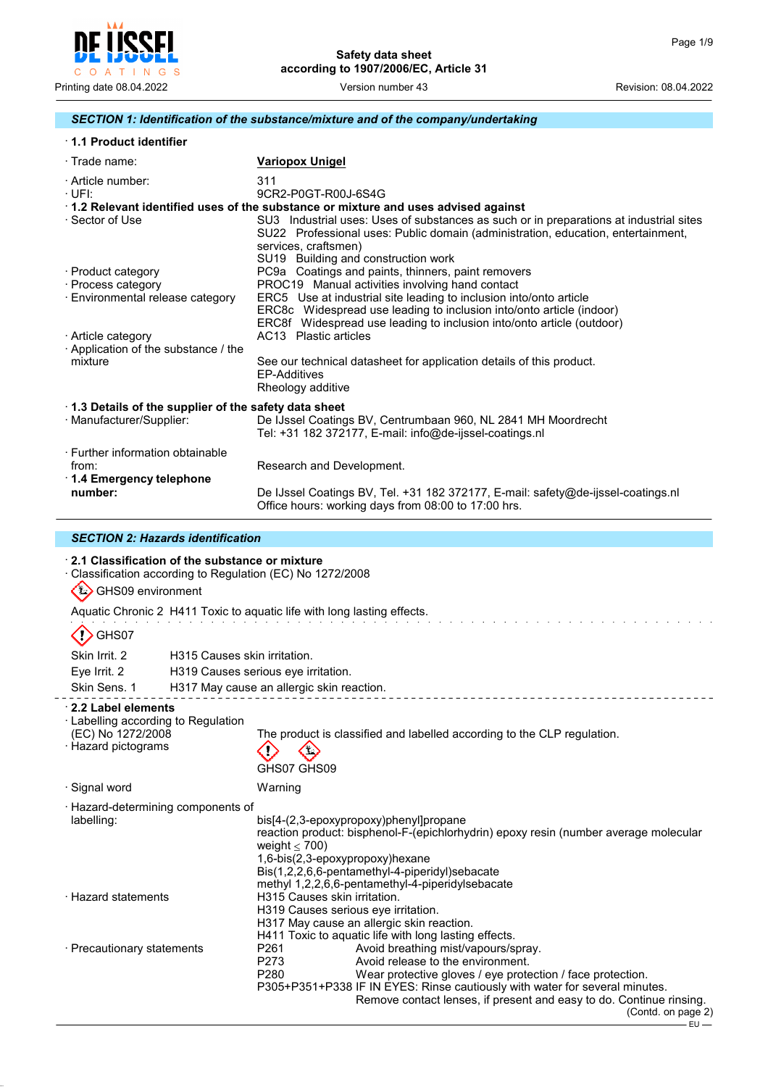

#### *SECTION 1: Identification of the substance/mixture and of the company/undertaking*

| 1.1 Product identifier |  |
|------------------------|--|
|------------------------|--|

| $\cdot$ Trade name:                                  | <b>Variopox Unigel</b>                                                                                                                                                                                                                    |
|------------------------------------------------------|-------------------------------------------------------------------------------------------------------------------------------------------------------------------------------------------------------------------------------------------|
| · Article number:<br>·UFI:                           | 311<br>9CR2-P0GT-R00J-6S4G                                                                                                                                                                                                                |
|                                                      | 1.2 Relevant identified uses of the substance or mixture and uses advised against                                                                                                                                                         |
| · Sector of Use                                      | SU3 Industrial uses: Uses of substances as such or in preparations at industrial sites<br>SU22 Professional uses: Public domain (administration, education, entertainment,<br>services, craftsmen)<br>SU19 Building and construction work |
| · Product category                                   | PC9a Coatings and paints, thinners, paint removers                                                                                                                                                                                        |
| · Process category                                   | PROC19 Manual activities involving hand contact                                                                                                                                                                                           |
| · Environmental release category                     | ERC5 Use at industrial site leading to inclusion into/onto article                                                                                                                                                                        |
|                                                      | ERC8c Widespread use leading to inclusion into/onto article (indoor)                                                                                                                                                                      |
|                                                      | ERC8f Widespread use leading to inclusion into/onto article (outdoor)                                                                                                                                                                     |
| · Article category                                   | AC13 Plastic articles                                                                                                                                                                                                                     |
| Application of the substance / the<br>mixture        | See our technical datasheet for application details of this product.<br>FP-Additives<br>Rheology additive                                                                                                                                 |
| 1.3 Details of the supplier of the safety data sheet |                                                                                                                                                                                                                                           |
| · Manufacturer/Supplier:                             | De IJssel Coatings BV, Centrumbaan 960, NL 2841 MH Moordrecht<br>Tel: $+31$ 182 372177, E-mail: info@de-ijssel-coatings.nl                                                                                                                |
| ⋅ Further information obtainable                     |                                                                                                                                                                                                                                           |
| from:<br>⋅ 1.4 Emergency telephone                   | Research and Development.                                                                                                                                                                                                                 |
| number:                                              | De IJssel Coatings BV, Tel. +31 182 372177, E-mail: safety@de-ijssel-coatings.nl<br>Office hours: working days from 08:00 to 17:00 hrs.                                                                                                   |

## *SECTION 2: Hazards identification*

## · **2.1 Classification of the substance or mixture** · Classification according to Regulation (EC) No 1272/2008 GHS09 environment Aquatic Chronic 2 H411 Toxic to aquatic life with long lasting effects.  $\langle$ ! $\rangle$  GHS07 Skin Irrit. 2 H315 Causes skin irritation. Eye Irrit. 2 H319 Causes serious eye irritation. Skin Sens. 1 H317 May cause an allergic skin reaction. · **2.2 Label elements** · Labelling according to Regulation (EC) No 1272/2008 The product is classified and labelled according to the CLP regulation. · Hazard pictograms  $\langle \cdot \rangle$  $\Leftrightarrow$ GHS07 GHS09 · Signal word Warning · Hazard-determining components of bis[4-(2,3-epoxypropoxy)phenyl]propane reaction product: bisphenol-F-(epichlorhydrin) epoxy resin (number average molecular weight  $\leq 700$ ) 1,6-bis(2,3-epoxypropoxy)hexane Bis(1,2,2,6,6-pentamethyl-4-piperidyl)sebacate methyl 1,2,2,6,6-pentamethyl-4-piperidylsebacate · Hazard statements H315 Causes skin irritation. H319 Causes serious eye irritation.

· Precautionary statements P261 Avoid breathing mist/vapours/spray.<br>P273 Avoid release to the environment.

H317 May cause an allergic skin reaction. H411 Toxic to aquatic life with long lasting effects.

- P273 Avoid release to the environment.<br>P280 Wear protective gloves / eve prote Wear protective gloves / eye protection / face protection.
- P305+P351+P338 IF IN EYES: Rinse cautiously with water for several minutes.

Remove contact lenses, if present and easy to do. Continue rinsing.

<sup>(</sup>Contd. on page 2)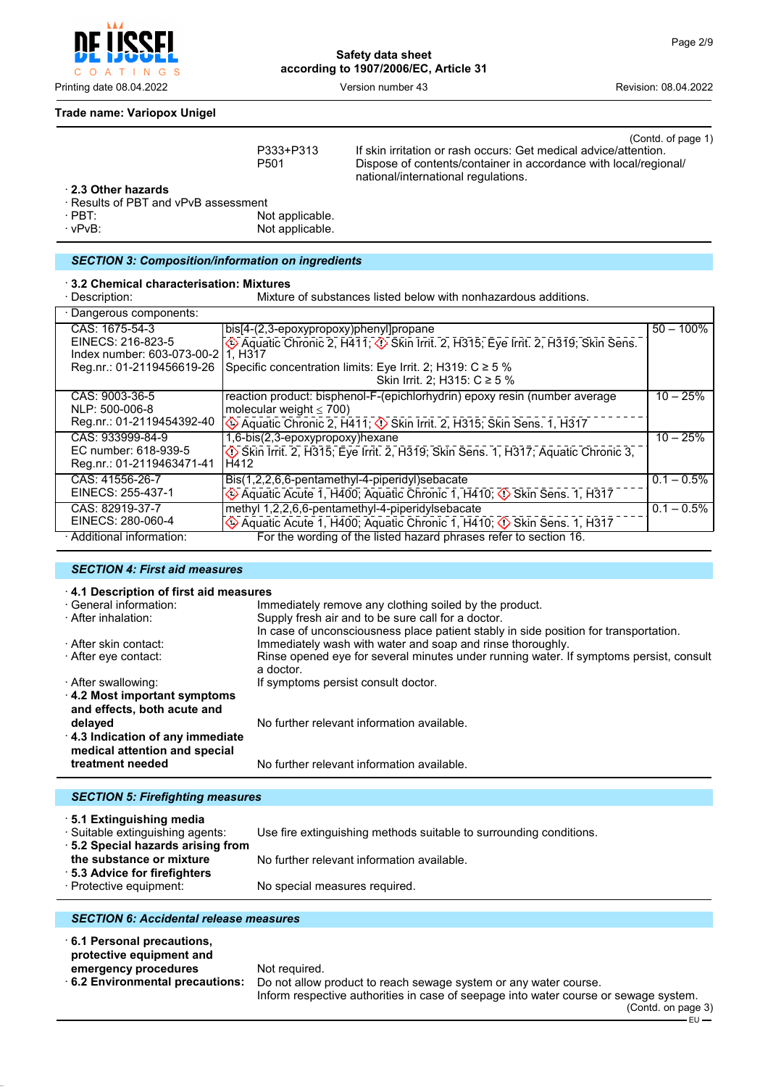**Safety data sheet according to 1907/2006/EC, Article 31**

Printing date 08.04.2022 Version number 43 Revision: 08.04.2022

## **Trade name: Variopox Unigel**

O A T I N G S

 $\mathbf C$ 

|                                                           | P333+P313<br>P <sub>501</sub>          | If skin irritation or rash occurs: Get medical advice/attention.<br>Dispose of contents/container in accordance with local/regional/<br>national/international regulations. | (Contd. of page 1) |
|-----------------------------------------------------------|----------------------------------------|-----------------------------------------------------------------------------------------------------------------------------------------------------------------------------|--------------------|
| 2.3 Other hazards<br>· Results of PBT and vPvB assessment |                                        |                                                                                                                                                                             |                    |
| $\cdot$ PBT:                                              | Not applicable.                        |                                                                                                                                                                             |                    |
| $\cdot$ vPvB:                                             | Not applicable.                        |                                                                                                                                                                             |                    |
|                                                           |                                        |                                                                                                                                                                             |                    |
| <b>SECTION 3: Composition/information on ingredients</b>  |                                        |                                                                                                                                                                             |                    |
| 3.2 Chemical characterisation: Mixtures                   |                                        |                                                                                                                                                                             |                    |
| · Description:                                            |                                        | Mixture of substances listed below with nonhazardous additions.                                                                                                             |                    |
| Dangerous components:                                     |                                        |                                                                                                                                                                             |                    |
| CAS: 1675-54-3                                            | bis[4-(2,3-epoxypropoxy)phenyl]propane |                                                                                                                                                                             | $50 - 100\%$       |
| EINECS: 216-823-5                                         |                                        | Aquatic Chronic 2, H411; $\Diamond$ Skin Irrit. 2, H315; Eye Irrit. 2, H319; Skin Sens.                                                                                     |                    |
| Index number: 603-073-00-211. H317                        |                                        |                                                                                                                                                                             |                    |
| Reg.nr.: 01-2119456619-26                                 |                                        | Specific concentration limits: Eye Irrit. 2; H319: $C \ge 5$ %<br>Skin Irrit. 2; H315: C ≥ 5 %                                                                              |                    |
|                                                           |                                        |                                                                                                                                                                             |                    |
| CAS: 9003-36-5<br>NLP: 500-006-8                          |                                        | reaction product: bisphenol-F-(epichlorhydrin) epoxy resin (number average                                                                                                  | $10 - 25%$         |
| Reg.nr.: 01-2119454392-40                                 | molecular weight $\leq 700$ )          | Aquatic Chronic 2, H411; $\circled{}$ Skin Irrit. 2, H315; Skin Sens. 1, H317                                                                                               |                    |
| CAS: 933999-84-9                                          | 1,6-bis(2,3-epoxypropoxy)hexane        |                                                                                                                                                                             | $10 - 25%$         |
| EC number: 618-939-5                                      |                                        | Skin Irrit. 2, H315; Eye Irrit. 2, H319; Skin Sens. 1, H317; Aquatic Chronic 3,                                                                                             |                    |
| Reg.nr.: 01-2119463471-41                                 | H412                                   |                                                                                                                                                                             |                    |
| CAS: 41556-26-7                                           |                                        | Bis(1,2,2,6,6-pentamethyl-4-piperidyl)sebacate                                                                                                                              | $0.1 - 0.5\%$      |
| EINECS: 255-437-1                                         |                                        | Aquatic Acute 1, H400; Aquatic Chronic 1, H410; $\Diamond$ Skin Sens. 1, H317                                                                                               |                    |
| CAS: 82919-37-7                                           |                                        | methyl 1,2,2,6,6-pentamethyl-4-piperidylsebacate                                                                                                                            | $0.1 - 0.5\%$      |
| EINECS: 280-060-4                                         |                                        | Aquatic Acute 1, H400; Aquatic Chronic 1, H410; $\Diamond$ Skin Sens. 1, H317                                                                                               |                    |
| · Additional information:                                 |                                        | For the wording of the listed hazard phrases refer to section 16.                                                                                                           |                    |

#### *SECTION 4: First aid measures*

| 4.1 Description of first aid measures                      |                                                                                                     |
|------------------------------------------------------------|-----------------------------------------------------------------------------------------------------|
| · General information:                                     | Immediately remove any clothing soiled by the product.                                              |
| · After inhalation:                                        | Supply fresh air and to be sure call for a doctor.                                                  |
|                                                            | In case of unconsciousness place patient stably in side position for transportation.                |
| → After skin contact:                                      | Immediately wash with water and soap and rinse thoroughly.                                          |
| ⋅ After eye contact:                                       | Rinse opened eye for several minutes under running water. If symptoms persist, consult<br>a doctor. |
| · After swallowing:                                        | If symptoms persist consult doctor.                                                                 |
| 4.2 Most important symptoms<br>and effects, both acute and |                                                                                                     |
| delayed                                                    | No further relevant information available.                                                          |
| 4.3 Indication of any immediate                            |                                                                                                     |
| medical attention and special                              |                                                                                                     |
| treatment needed                                           | No further relevant information available.                                                          |
|                                                            |                                                                                                     |
| <b>SECTION 5: Firefighting measures</b>                    |                                                                                                     |

| 5.1 Extinguishing media<br>· Suitable extinguishing agents: | Use fire extinguishing methods suitable to surrounding conditions. |
|-------------------------------------------------------------|--------------------------------------------------------------------|
| 5.2 Special hazards arising from                            |                                                                    |
| the substance or mixture<br>5.3 Advice for firefighters     | No further relevant information available.                         |
| · Protective equipment:                                     | No special measures required.                                      |
|                                                             |                                                                    |

### *SECTION 6: Accidental release measures*

| 6.1 Personal precautions,<br>protective equipment and |                                                                                      |
|-------------------------------------------------------|--------------------------------------------------------------------------------------|
| emergency procedures                                  | Not reguired.                                                                        |
| $\cdot$ 6.2 Environmental precautions:                | Do not allow product to reach sewage system or any water course.                     |
|                                                       | Inform respective authorities in case of seepage into water course or sewage system. |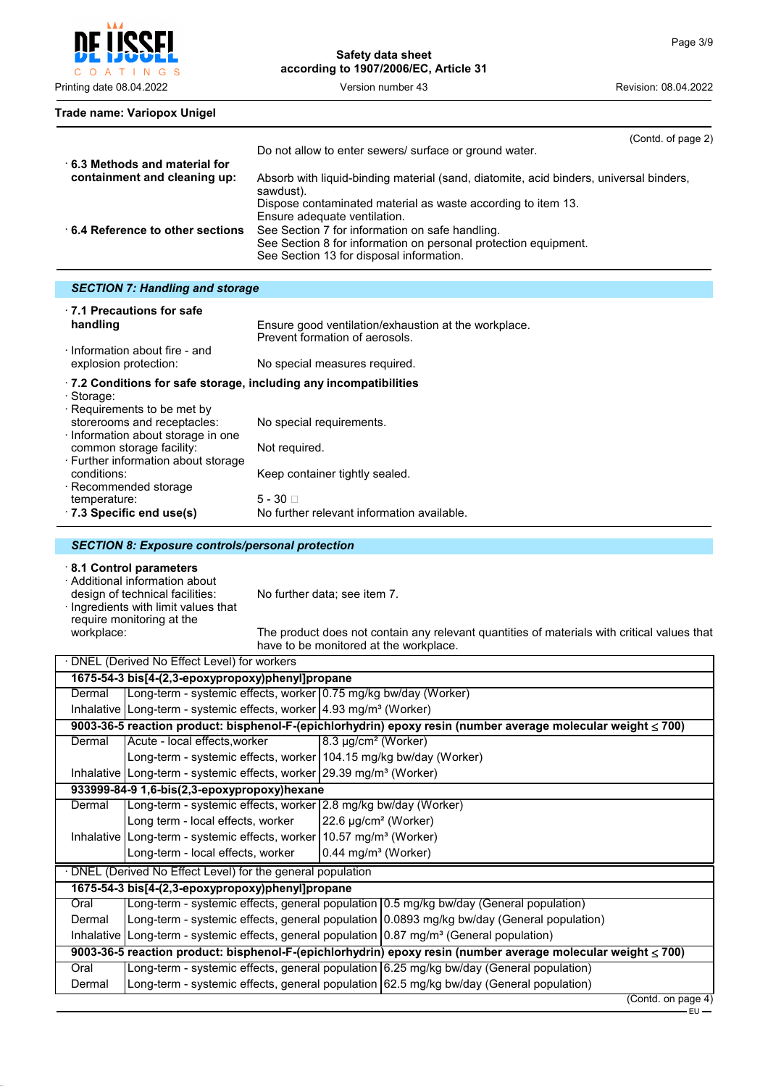$\mathsf{C}$ O A T I N G S

Printing date 08.04.2022 Version number 43 Revision: 08.04.2022

**Trade name: Variopox Unigel**

| 6.3 Methods and material for    | (Contd. of page 2)<br>Do not allow to enter sewers/ surface or ground water.                                                                                                                                                                                   |
|---------------------------------|----------------------------------------------------------------------------------------------------------------------------------------------------------------------------------------------------------------------------------------------------------------|
| containment and cleaning up:    | Absorb with liquid-binding material (sand, diatomite, acid binders, universal binders,<br>sawdust).                                                                                                                                                            |
| 6.4 Reference to other sections | Dispose contaminated material as waste according to item 13.<br>Ensure adequate ventilation.<br>See Section 7 for information on safe handling.<br>See Section 8 for information on personal protection equipment.<br>See Section 13 for disposal information. |

| <b>SECTION 7: Handling and storage</b> |  |  |  |
|----------------------------------------|--|--|--|
|                                        |  |  |  |

| ⋅7.1 Precautions for safe                                                                                            |                                                                                        |
|----------------------------------------------------------------------------------------------------------------------|----------------------------------------------------------------------------------------|
| handling                                                                                                             | Ensure good ventilation/exhaustion at the workplace.<br>Prevent formation of aerosols. |
| Information about fire - and<br>explosion protection:                                                                | No special measures required.                                                          |
| .7.2 Conditions for safe storage, including any incompatibilities<br>· Storage:<br>$\cdot$ Requirements to be met by |                                                                                        |
| storerooms and receptacles:<br>Information about storage in one                                                      | No special requirements.                                                               |
| common storage facility:<br>· Further information about storage                                                      | Not required.                                                                          |
| conditions:<br>· Recommended storage                                                                                 | Keep container tightly sealed.                                                         |
| temperature:<br>$\cdot$ 7.3 Specific end use(s)                                                                      | $5 - 30$ $\Box$<br>No further relevant information available.                          |
|                                                                                                                      |                                                                                        |

## *SECTION 8: Exposure controls/personal protection*

## · **8.1 Control parameters**

# · Additional information about

· Ingredients with limit values that require monitoring at the<br>workplace:

design of technical facilities: No further data; see item 7.

The product does not contain any relevant quantities of materials with critical values that have to be monitored at the workplace.

|                                                           | ⋅ DNEL (Derived No Effect Level) for workers                                                           |                                                   |                                                                                                              |  |
|-----------------------------------------------------------|--------------------------------------------------------------------------------------------------------|---------------------------------------------------|--------------------------------------------------------------------------------------------------------------|--|
|                                                           | 1675-54-3 bis[4-(2,3-epoxypropoxy)phenyl]propane                                                       |                                                   |                                                                                                              |  |
| Dermal                                                    | Long-term - systemic effects, worker 0.75 mg/kg bw/day (Worker)                                        |                                                   |                                                                                                              |  |
|                                                           | Inhalative Long-term - systemic effects, worker $ 4.93 \text{ mg/m}^3$ (Worker)                        |                                                   |                                                                                                              |  |
|                                                           |                                                                                                        |                                                   | 9003-36-5 reaction product: bisphenol-F-(epichlorhydrin) epoxy resin (number average molecular weight ≤ 700) |  |
| Dermal                                                    | Acute - local effects, worker                                                                          | 8.3 µg/cm <sup>2</sup> (Worker)                   |                                                                                                              |  |
|                                                           | Long-term - systemic effects, worker   104.15 mg/kg bw/day (Worker)                                    |                                                   |                                                                                                              |  |
|                                                           | Inhalative   Long-term - systemic effects, worker   29.39 mg/m <sup>3</sup> (Worker)                   |                                                   |                                                                                                              |  |
|                                                           | 933999-84-9 1,6-bis(2,3-epoxypropoxy)hexane                                                            |                                                   |                                                                                                              |  |
| Dermal                                                    | Long-term - systemic effects, worker 2.8 mg/kg bw/day (Worker)                                         |                                                   |                                                                                                              |  |
|                                                           | Long term - local effects, worker                                                                      | $\left  22.6 \right $ µg/cm <sup>2</sup> (Worker) |                                                                                                              |  |
|                                                           | Inhalative   Long-term - systemic effects, worker   10.57 mg/m <sup>3</sup> (Worker)                   |                                                   |                                                                                                              |  |
|                                                           | Long-term - local effects, worker                                                                      | $0.44$ mg/m <sup>3</sup> (Worker)                 |                                                                                                              |  |
| DNEL (Derived No Effect Level) for the general population |                                                                                                        |                                                   |                                                                                                              |  |
|                                                           | 1675-54-3 bis[4-(2,3-epoxypropoxy)phenyl]propane                                                       |                                                   |                                                                                                              |  |
| Oral                                                      |                                                                                                        |                                                   | Long-term - systemic effects, general population 0.5 mg/kg bw/day (General population)                       |  |
| Dermal                                                    |                                                                                                        |                                                   | Long-term - systemic effects, general population 0.0893 mg/kg bw/day (General population)                    |  |
|                                                           | Inhalative Long-term - systemic effects, general population $0.87 \text{ mg/m}^3$ (General population) |                                                   |                                                                                                              |  |
|                                                           |                                                                                                        |                                                   | 9003-36-5 reaction product: bisphenol-F-(epichlorhydrin) epoxy resin (number average molecular weight ≤ 700) |  |
| Oral                                                      |                                                                                                        |                                                   | Long-term - systemic effects, general population 6.25 mg/kg bw/day (General population)                      |  |
| Dermal                                                    |                                                                                                        |                                                   | Long-term - systemic effects, general population 62.5 mg/kg bw/day (General population)                      |  |
|                                                           |                                                                                                        |                                                   | (Contdonn)                                                                                                   |  |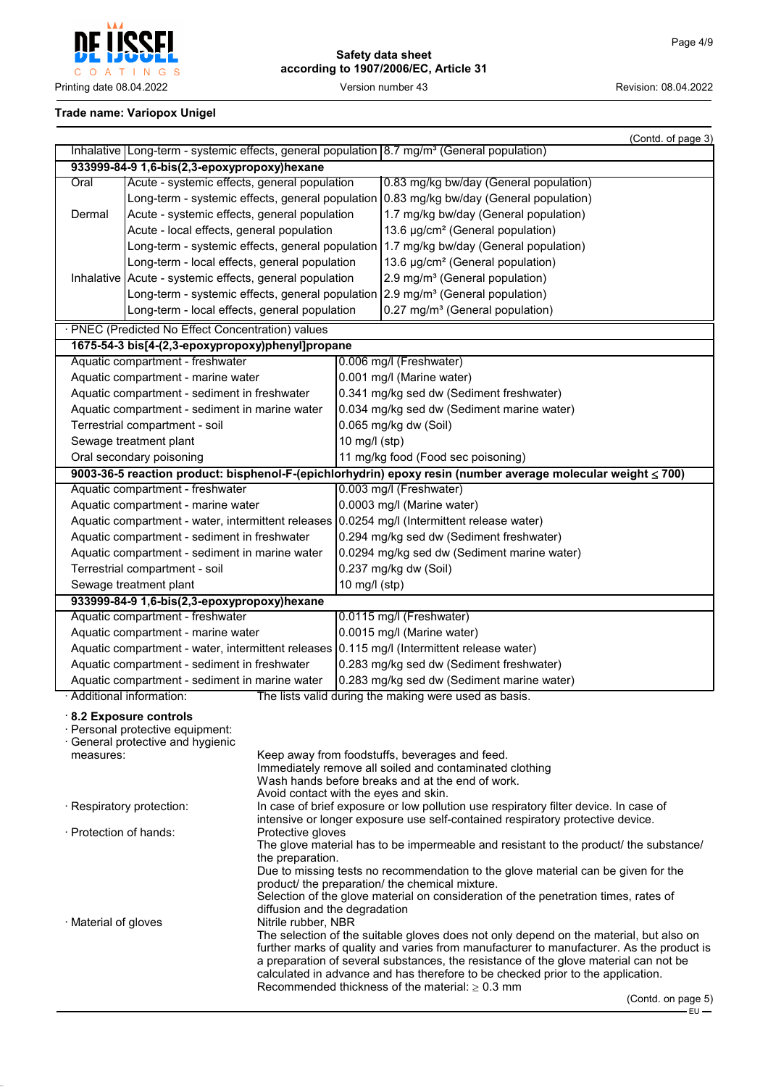

# **Safety data sheet according to 1907/2006/EC, Article 31**

## **Trade name: Variopox Unigel**

|                                                                                                                                             |                                                                                         |                                       |                                                                                             |                                                                                                                                      | (Contd. of page 3) |  |
|---------------------------------------------------------------------------------------------------------------------------------------------|-----------------------------------------------------------------------------------------|---------------------------------------|---------------------------------------------------------------------------------------------|--------------------------------------------------------------------------------------------------------------------------------------|--------------------|--|
|                                                                                                                                             |                                                                                         |                                       |                                                                                             | Inhalative Long-term - systemic effects, general population 8.7 mg/m <sup>3</sup> (General population)                               |                    |  |
|                                                                                                                                             | 933999-84-9 1,6-bis(2,3-epoxypropoxy)hexane                                             |                                       |                                                                                             |                                                                                                                                      |                    |  |
| Acute - systemic effects, general population<br>Oral                                                                                        |                                                                                         |                                       |                                                                                             | 0.83 mg/kg bw/day (General population)                                                                                               |                    |  |
|                                                                                                                                             | Long-term - systemic effects, general population 0.83 mg/kg bw/day (General population) |                                       |                                                                                             |                                                                                                                                      |                    |  |
|                                                                                                                                             | Acute - systemic effects, general population<br>Dermal                                  |                                       |                                                                                             | 1.7 mg/kg bw/day (General population)                                                                                                |                    |  |
| Acute - local effects, general population                                                                                                   |                                                                                         |                                       | 13.6 µg/cm <sup>2</sup> (General population)                                                |                                                                                                                                      |                    |  |
|                                                                                                                                             |                                                                                         |                                       |                                                                                             | Long-term - systemic effects, general population 1.7 mg/kg bw/day (General population)                                               |                    |  |
|                                                                                                                                             | Long-term - local effects, general population                                           |                                       |                                                                                             | 13.6 µg/cm <sup>2</sup> (General population)                                                                                         |                    |  |
|                                                                                                                                             | Inhalative   Acute - systemic effects, general population                               |                                       |                                                                                             | 2.9 mg/m <sup>3</sup> (General population)                                                                                           |                    |  |
|                                                                                                                                             |                                                                                         |                                       |                                                                                             | Long-term - systemic effects, general population 2.9 mg/m <sup>3</sup> (General population)                                          |                    |  |
|                                                                                                                                             | Long-term - local effects, general population                                           |                                       |                                                                                             | 0.27 mg/m <sup>3</sup> (General population)                                                                                          |                    |  |
|                                                                                                                                             | · PNEC (Predicted No Effect Concentration) values                                       |                                       |                                                                                             |                                                                                                                                      |                    |  |
|                                                                                                                                             | 1675-54-3 bis[4-(2,3-epoxypropoxy)phenyl]propane                                        |                                       |                                                                                             |                                                                                                                                      |                    |  |
|                                                                                                                                             | Aquatic compartment - freshwater                                                        |                                       |                                                                                             | 0.006 mg/l (Freshwater)                                                                                                              |                    |  |
|                                                                                                                                             | Aquatic compartment - marine water                                                      |                                       |                                                                                             | 0.001 mg/l (Marine water)                                                                                                            |                    |  |
|                                                                                                                                             | Aquatic compartment - sediment in freshwater                                            |                                       |                                                                                             | 0.341 mg/kg sed dw (Sediment freshwater)                                                                                             |                    |  |
|                                                                                                                                             | Aquatic compartment - sediment in marine water                                          |                                       |                                                                                             | 0.034 mg/kg sed dw (Sediment marine water)                                                                                           |                    |  |
|                                                                                                                                             | Terrestrial compartment - soil                                                          |                                       |                                                                                             | 0.065 mg/kg dw (Soil)                                                                                                                |                    |  |
|                                                                                                                                             | Sewage treatment plant                                                                  |                                       | 10 mg/l (stp)                                                                               |                                                                                                                                      |                    |  |
|                                                                                                                                             | Oral secondary poisoning                                                                |                                       |                                                                                             | 11 mg/kg food (Food sec poisoning)                                                                                                   |                    |  |
|                                                                                                                                             |                                                                                         |                                       |                                                                                             | 9003-36-5 reaction product: bisphenol-F-(epichlorhydrin) epoxy resin (number average molecular weight ≤ 700)                         |                    |  |
|                                                                                                                                             | Aquatic compartment - freshwater                                                        |                                       |                                                                                             | 0.003 mg/l (Freshwater)                                                                                                              |                    |  |
|                                                                                                                                             | Aquatic compartment - marine water                                                      |                                       |                                                                                             | 0.0003 mg/l (Marine water)                                                                                                           |                    |  |
|                                                                                                                                             |                                                                                         |                                       | Aquatic compartment - water, intermittent releases 0.0254 mg/l (Intermittent release water) |                                                                                                                                      |                    |  |
|                                                                                                                                             | Aquatic compartment - sediment in freshwater                                            |                                       | 0.294 mg/kg sed dw (Sediment freshwater)                                                    |                                                                                                                                      |                    |  |
|                                                                                                                                             | Aquatic compartment - sediment in marine water                                          |                                       |                                                                                             | 0.0294 mg/kg sed dw (Sediment marine water)                                                                                          |                    |  |
|                                                                                                                                             | Terrestrial compartment - soil                                                          |                                       |                                                                                             | 0.237 mg/kg dw (Soil)                                                                                                                |                    |  |
|                                                                                                                                             | Sewage treatment plant                                                                  |                                       | 10 mg/l (stp)                                                                               |                                                                                                                                      |                    |  |
|                                                                                                                                             | 933999-84-9 1,6-bis(2,3-epoxypropoxy)hexane                                             |                                       |                                                                                             |                                                                                                                                      |                    |  |
|                                                                                                                                             | Aquatic compartment - freshwater                                                        |                                       |                                                                                             | 0.0115 mg/l (Freshwater)                                                                                                             |                    |  |
|                                                                                                                                             | Aquatic compartment - marine water                                                      |                                       |                                                                                             | 0.0015 mg/l (Marine water)                                                                                                           |                    |  |
|                                                                                                                                             |                                                                                         |                                       |                                                                                             | Aquatic compartment - water, intermittent releases 0.115 mg/l (Intermittent release water)                                           |                    |  |
|                                                                                                                                             | Aquatic compartment - sediment in freshwater                                            |                                       |                                                                                             | 0.283 mg/kg sed dw (Sediment freshwater)                                                                                             |                    |  |
|                                                                                                                                             | Aquatic compartment - sediment in marine water<br>· Additional information:             |                                       |                                                                                             | 0.283 mg/kg sed dw (Sediment marine water)                                                                                           |                    |  |
|                                                                                                                                             |                                                                                         |                                       |                                                                                             | The lists valid during the making were used as basis.                                                                                |                    |  |
|                                                                                                                                             | 8.2 Exposure controls                                                                   |                                       |                                                                                             |                                                                                                                                      |                    |  |
|                                                                                                                                             | · Personal protective equipment:<br>· General protective and hygienic                   |                                       |                                                                                             |                                                                                                                                      |                    |  |
| measures:                                                                                                                                   |                                                                                         |                                       |                                                                                             | Keep away from foodstuffs, beverages and feed.                                                                                       |                    |  |
|                                                                                                                                             |                                                                                         |                                       |                                                                                             | Immediately remove all soiled and contaminated clothing                                                                              |                    |  |
|                                                                                                                                             |                                                                                         |                                       |                                                                                             | Wash hands before breaks and at the end of work.                                                                                     |                    |  |
|                                                                                                                                             |                                                                                         | Avoid contact with the eyes and skin. |                                                                                             | In case of brief exposure or low pollution use respiratory filter device. In case of                                                 |                    |  |
|                                                                                                                                             | · Respiratory protection:                                                               |                                       |                                                                                             | intensive or longer exposure use self-contained respiratory protective device.                                                       |                    |  |
| · Protection of hands:                                                                                                                      |                                                                                         | Protective gloves                     |                                                                                             |                                                                                                                                      |                    |  |
|                                                                                                                                             |                                                                                         |                                       |                                                                                             | The glove material has to be impermeable and resistant to the product/ the substance/                                                |                    |  |
|                                                                                                                                             |                                                                                         | the preparation.                      |                                                                                             |                                                                                                                                      |                    |  |
|                                                                                                                                             |                                                                                         |                                       |                                                                                             | Due to missing tests no recommendation to the glove material can be given for the<br>product/ the preparation/ the chemical mixture. |                    |  |
|                                                                                                                                             |                                                                                         |                                       |                                                                                             | Selection of the glove material on consideration of the penetration times, rates of                                                  |                    |  |
| diffusion and the degradation                                                                                                               |                                                                                         |                                       |                                                                                             |                                                                                                                                      |                    |  |
| Nitrile rubber, NBR<br>$\cdot$ Material of gloves<br>The selection of the suitable gloves does not only depend on the material, but also on |                                                                                         |                                       |                                                                                             |                                                                                                                                      |                    |  |
|                                                                                                                                             |                                                                                         |                                       |                                                                                             | further marks of quality and varies from manufacturer to manufacturer. As the product is                                             |                    |  |
|                                                                                                                                             |                                                                                         |                                       |                                                                                             | a preparation of several substances, the resistance of the glove material can not be                                                 |                    |  |
|                                                                                                                                             |                                                                                         |                                       |                                                                                             | calculated in advance and has therefore to be checked prior to the application.                                                      |                    |  |
|                                                                                                                                             |                                                                                         |                                       |                                                                                             | Recommended thickness of the material: $\geq 0.3$ mm                                                                                 | (Contedon page 5)  |  |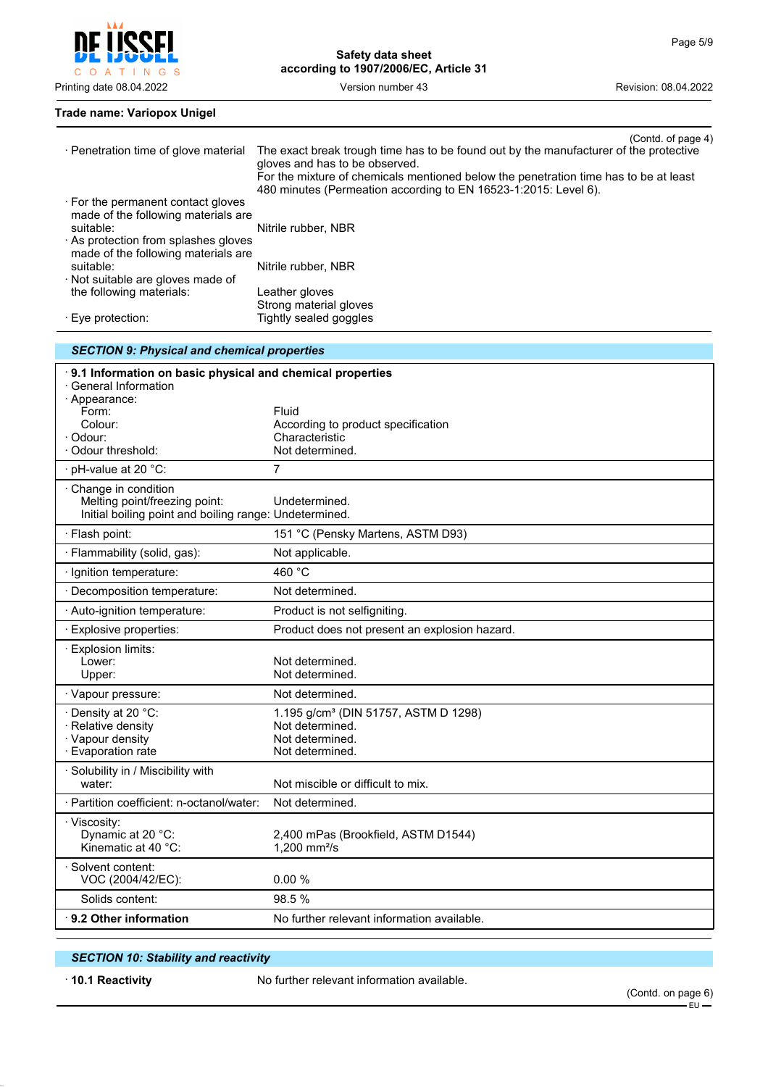

## **Trade name: Variopox Unigel**

| · Penetration time of glove material                      | (Contd. of page 4)<br>The exact break trough time has to be found out by the manufacturer of the protective                                             |
|-----------------------------------------------------------|---------------------------------------------------------------------------------------------------------------------------------------------------------|
|                                                           | gloves and has to be observed.                                                                                                                          |
|                                                           | For the mixture of chemicals mentioned below the penetration time has to be at least<br>480 minutes (Permeation according to EN 16523-1:2015: Level 6). |
| $\cdot$ For the permanent contact gloves                  |                                                                                                                                                         |
| made of the following materials are<br>suitable:          |                                                                                                                                                         |
| · As protection from splashes gloves                      | Nitrile rubber, NBR                                                                                                                                     |
| made of the following materials are                       |                                                                                                                                                         |
| suitable:<br>· Not suitable are gloves made of            | Nitrile rubber, NBR                                                                                                                                     |
| the following materials:                                  | Leather gloves                                                                                                                                          |
| · Eye protection:                                         | Strong material gloves<br>Tightly sealed goggles                                                                                                        |
| <b>SECTION 9: Physical and chemical properties</b>        |                                                                                                                                                         |
| 9.1 Information on basic physical and chemical properties |                                                                                                                                                         |
| ⋅ General Information                                     |                                                                                                                                                         |
| · Appearance:<br>Form:                                    | Fluid                                                                                                                                                   |
| Colour:                                                   | According to product specification                                                                                                                      |
| · Odour:<br>Odour threshold:                              | Characteristic<br>Not determined.                                                                                                                       |
| · pH-value at 20 °C:                                      | 7                                                                                                                                                       |
| Change in condition                                       |                                                                                                                                                         |
| Melting point/freezing point:                             | Undetermined.                                                                                                                                           |
| Initial boiling point and boiling range: Undetermined.    |                                                                                                                                                         |
| · Flash point:                                            | 151 °C (Pensky Martens, ASTM D93)                                                                                                                       |
| · Flammability (solid, gas):                              | Not applicable.                                                                                                                                         |
| · Ignition temperature:                                   | 460 °C                                                                                                                                                  |
| · Decomposition temperature:                              | Not determined.                                                                                                                                         |
| · Auto-ignition temperature:                              | Product is not selfigniting.                                                                                                                            |
| · Explosive properties:                                   | Product does not present an explosion hazard.                                                                                                           |
| · Explosion limits:<br>Lower:                             | Not determined.                                                                                                                                         |
| Upper:                                                    | Not determined.                                                                                                                                         |
| · Vapour pressure:                                        | Not determined.                                                                                                                                         |
| · Density at 20 °C:                                       | 1.195 g/cm <sup>3</sup> (DIN 51757, ASTM D 1298)                                                                                                        |
| · Relative density<br>· Vapour density                    | Not determined.<br>Not determined.                                                                                                                      |
| · Evaporation rate                                        | Not determined.                                                                                                                                         |
| · Solubility in / Miscibility with                        |                                                                                                                                                         |
| water:                                                    | Not miscible or difficult to mix.                                                                                                                       |
| · Partition coefficient: n-octanol/water:                 | Not determined.                                                                                                                                         |
| · Viscosity:<br>Dynamic at 20 °C:                         | 2,400 mPas (Brookfield, ASTM D1544)                                                                                                                     |
| Kinematic at 40 °C:                                       | 1,200 mm $^{2}/s$                                                                                                                                       |
| · Solvent content:                                        |                                                                                                                                                         |
| VOC (2004/42/EC):<br>Solids content:                      | 0.00%<br>98.5 %                                                                                                                                         |
| ⋅ 9.2 Other information                                   | No further relevant information available.                                                                                                              |
|                                                           |                                                                                                                                                         |

## *SECTION 10: Stability and reactivity*

· **10.1 Reactivity** No further relevant information available.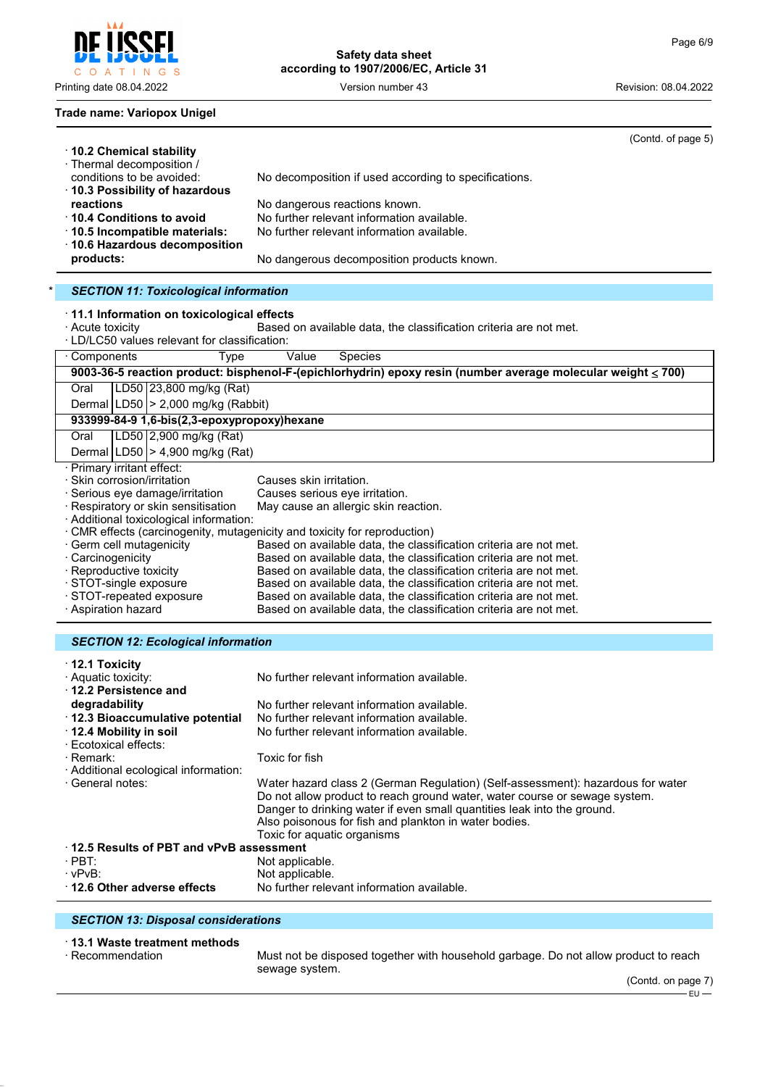INGS O A T

#### **Trade name: Variopox Unigel**

| Safety data sheet                     |  |  |  |  |
|---------------------------------------|--|--|--|--|
| according to 1907/2006/EC, Article 31 |  |  |  |  |

Printing date 08.04.2022 Version number 43 Revision: 08.04.2022

|                                                                                                                                                                                           | (Contd. of page 5)                                                                                           |  |  |  |  |
|-------------------------------------------------------------------------------------------------------------------------------------------------------------------------------------------|--------------------------------------------------------------------------------------------------------------|--|--|--|--|
| 10.2 Chemical stability<br>· Thermal decomposition /                                                                                                                                      |                                                                                                              |  |  |  |  |
| conditions to be avoided:                                                                                                                                                                 | No decomposition if used according to specifications.                                                        |  |  |  |  |
| 10.3 Possibility of hazardous                                                                                                                                                             |                                                                                                              |  |  |  |  |
| reactions                                                                                                                                                                                 | No dangerous reactions known.                                                                                |  |  |  |  |
| $\cdot$ 10.4 Conditions to avoid                                                                                                                                                          | No further relevant information available.                                                                   |  |  |  |  |
| · 10.5 Incompatible materials:                                                                                                                                                            | No further relevant information available.                                                                   |  |  |  |  |
| 10.6 Hazardous decomposition                                                                                                                                                              |                                                                                                              |  |  |  |  |
| products:                                                                                                                                                                                 | No dangerous decomposition products known.                                                                   |  |  |  |  |
| <b>SECTION 11: Toxicological information</b>                                                                                                                                              |                                                                                                              |  |  |  |  |
| 11.1 Information on toxicological effects                                                                                                                                                 |                                                                                                              |  |  |  |  |
| · Acute toxicity                                                                                                                                                                          | Based on available data, the classification criteria are not met.                                            |  |  |  |  |
| · LD/LC50 values relevant for classification:                                                                                                                                             |                                                                                                              |  |  |  |  |
| · Components<br><b>Type</b>                                                                                                                                                               | Value<br><b>Species</b>                                                                                      |  |  |  |  |
|                                                                                                                                                                                           | 9003-36-5 reaction product: bisphenol-F-(epichlorhydrin) epoxy resin (number average molecular weight ≤ 700) |  |  |  |  |
| LD50 23,800 mg/kg (Rat)<br>Oral                                                                                                                                                           |                                                                                                              |  |  |  |  |
| Dermal   LD50   > 2,000 mg/kg (Rabbit)                                                                                                                                                    |                                                                                                              |  |  |  |  |
| 933999-84-9 1,6-bis(2,3-epoxypropoxy)hexane                                                                                                                                               |                                                                                                              |  |  |  |  |
| LD50 2,900 mg/kg (Rat)<br>Oral                                                                                                                                                            |                                                                                                              |  |  |  |  |
| Dermal   LD50   > 4,900 mg/kg (Rat)                                                                                                                                                       |                                                                                                              |  |  |  |  |
| Primary irritant effect:                                                                                                                                                                  |                                                                                                              |  |  |  |  |
| Skin corrosion/irritation<br>Serious eye damage/irritation                                                                                                                                | Causes skin irritation.<br>Causes serious eye irritation.                                                    |  |  |  |  |
| · Respiratory or skin sensitisation                                                                                                                                                       | May cause an allergic skin reaction.                                                                         |  |  |  |  |
| · Additional toxicological information:                                                                                                                                                   |                                                                                                              |  |  |  |  |
|                                                                                                                                                                                           | · CMR effects (carcinogenity, mutagenicity and toxicity for reproduction)                                    |  |  |  |  |
| · Germ cell mutagenicity                                                                                                                                                                  | Based on available data, the classification criteria are not met.                                            |  |  |  |  |
| · Carcinogenicity<br>Based on available data, the classification criteria are not met.                                                                                                    |                                                                                                              |  |  |  |  |
| · Reproductive toxicity<br>Based on available data, the classification criteria are not met.                                                                                              |                                                                                                              |  |  |  |  |
| · STOT-single exposure<br>Based on available data, the classification criteria are not met.                                                                                               |                                                                                                              |  |  |  |  |
| · STOT-repeated exposure<br>Based on available data, the classification criteria are not met.<br>· Aspiration hazard<br>Based on available data, the classification criteria are not met. |                                                                                                              |  |  |  |  |
|                                                                                                                                                                                           |                                                                                                              |  |  |  |  |
| <b>SECTION 12: Ecological information</b>                                                                                                                                                 |                                                                                                              |  |  |  |  |
| $\cdot$ 12.1 Toxicity                                                                                                                                                                     |                                                                                                              |  |  |  |  |
| · Aquatic toxicity:                                                                                                                                                                       | No further relevant information available.                                                                   |  |  |  |  |
| 12.2 Persistence and                                                                                                                                                                      |                                                                                                              |  |  |  |  |
| degradability                                                                                                                                                                             | No further relevant information available.                                                                   |  |  |  |  |
| 12.3 Bioaccumulative potential                                                                                                                                                            | No further relevant information available.                                                                   |  |  |  |  |
| 12.4 Mobility in soil<br>No further relevant information available.<br>· Feotoxical effects:                                                                                              |                                                                                                              |  |  |  |  |

· Ecotoxical effects: Toxic for fish

· Additional ecological information:

Water hazard class 2 (German Regulation) (Self-assessment): hazardous for water Do not allow product to reach ground water, water course or sewage system. Danger to drinking water if even small quantities leak into the ground. Also poisonous for fish and plankton in water bodies. Toxic for aquatic organisms

#### · **12.5 Results of PBT and vPvB assessment** · PBT:<br>· vPvB: Not applicable. Not applicable. · **12.6 Other adverse effects** No further relevant information available.

## *SECTION 13: Disposal considerations*

## · **13.1 Waste treatment methods**

· Recommendation Must not be disposed together with household garbage. Do not allow product to reach sewage system.

(Contd. on page 7) – EU –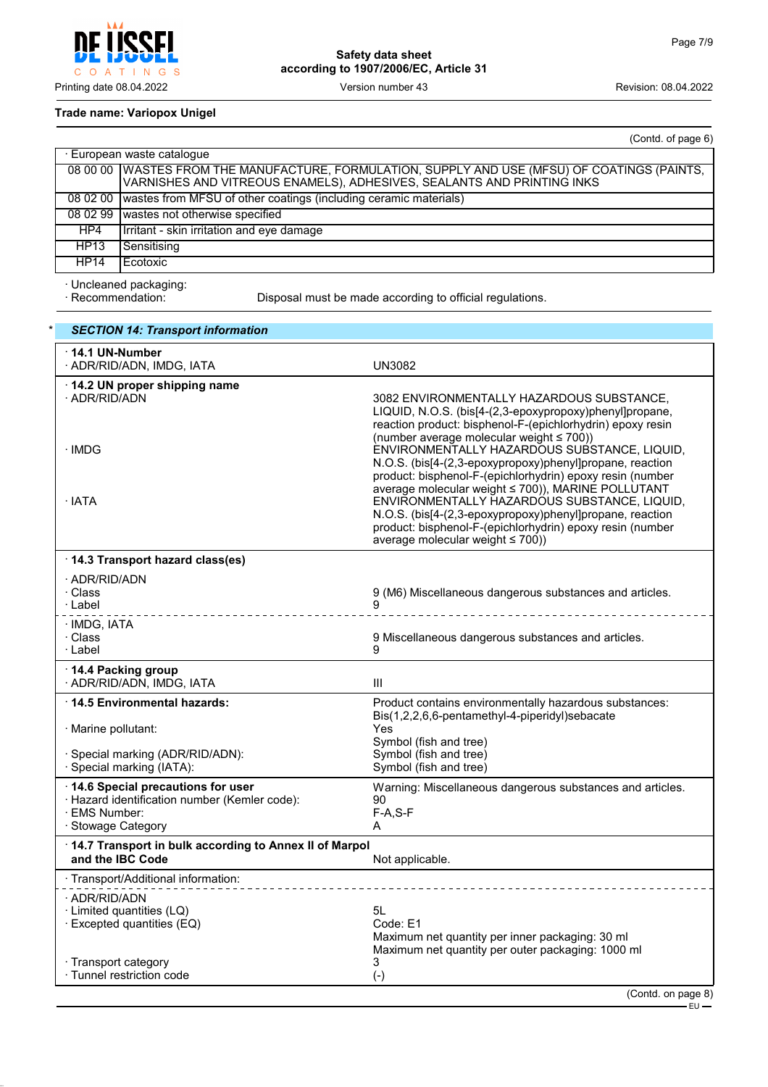

**Safety data sheet according to 1907/2006/EC, Article 31**

## **Trade name: Variopox Unigel**

|                            | (Contd. of page 6)                                                                                                                                                        |  |  |  |
|----------------------------|---------------------------------------------------------------------------------------------------------------------------------------------------------------------------|--|--|--|
| · European waste catalogue |                                                                                                                                                                           |  |  |  |
|                            | 08 00 00   WASTES FROM THE MANUFACTURE, FORMULATION, SUPPLY AND USE (MFSU) OF COATINGS (PAINTS,<br>VARNISHES AND VITREOUS ENAMELS), ADHESIVES, SEALANTS AND PRINTING INKS |  |  |  |
| 08 02 00                   | wastes from MFSU of other coatings (including ceramic materials)                                                                                                          |  |  |  |
| 08 02 99                   | wastes not otherwise specified                                                                                                                                            |  |  |  |
| HP4                        | Irritant - skin irritation and eye damage                                                                                                                                 |  |  |  |
| HP13                       | Sensitising                                                                                                                                                               |  |  |  |
| <b>HP14</b>                | Ecotoxic                                                                                                                                                                  |  |  |  |

· Uncleaned packaging:

Disposal must be made according to official regulations.

| <b>SECTION 14: Transport information</b>                                                                                  |                                                                                                                                                                                                                                                                                                                                                                                                                                                                                                     |
|---------------------------------------------------------------------------------------------------------------------------|-----------------------------------------------------------------------------------------------------------------------------------------------------------------------------------------------------------------------------------------------------------------------------------------------------------------------------------------------------------------------------------------------------------------------------------------------------------------------------------------------------|
| $\cdot$ 14.1 UN-Number<br>· ADR/RID/ADN, IMDG, IATA                                                                       | UN3082                                                                                                                                                                                                                                                                                                                                                                                                                                                                                              |
| $\cdot$ 14.2 UN proper shipping name<br>· ADR/RID/ADN<br>∙IMDG<br>· IATA                                                  | 3082 ENVIRONMENTALLY HAZARDOUS SUBSTANCE,<br>LIQUID, N.O.S. (bis[4-(2,3-epoxypropoxy)phenyl]propane,<br>reaction product: bisphenol-F-(epichlorhydrin) epoxy resin<br>(number average molecular weight $\leq 700$ ))<br>ENVIRONMENTALLY HAZARDOUS SUBSTANCE, LIQUID,<br>N.O.S. (bis[4-(2,3-epoxypropoxy)phenyl]propane, reaction<br>product: bisphenol-F-(epichlorhydrin) epoxy resin (number<br>average molecular weight ≤ 700)), MARINE POLLUTANT<br>ENVIRONMENTALLY HAZARDOUS SUBSTANCE, LIQUID, |
|                                                                                                                           | N.O.S. (bis[4-(2,3-epoxypropoxy)phenyl]propane, reaction<br>product: bisphenol-F-(epichlorhydrin) epoxy resin (number<br>average molecular weight $\leq 700$ ))                                                                                                                                                                                                                                                                                                                                     |
| 14.3 Transport hazard class(es)                                                                                           |                                                                                                                                                                                                                                                                                                                                                                                                                                                                                                     |
| · ADR/RID/ADN<br>· Class<br>· Label                                                                                       | 9 (M6) Miscellaneous dangerous substances and articles.<br>9                                                                                                                                                                                                                                                                                                                                                                                                                                        |
| · IMDG, IATA<br>· Class<br>· Label                                                                                        | 9 Miscellaneous dangerous substances and articles.<br>9                                                                                                                                                                                                                                                                                                                                                                                                                                             |
| 14.4 Packing group<br>· ADR/RID/ADN, IMDG, IATA                                                                           | Ш                                                                                                                                                                                                                                                                                                                                                                                                                                                                                                   |
| ⋅14.5 Environmental hazards:                                                                                              | Product contains environmentally hazardous substances:                                                                                                                                                                                                                                                                                                                                                                                                                                              |
| · Marine pollutant:                                                                                                       | Bis(1,2,2,6,6-pentamethyl-4-piperidyl)sebacate<br>Yes<br>Symbol (fish and tree)                                                                                                                                                                                                                                                                                                                                                                                                                     |
| · Special marking (ADR/RID/ADN):<br>· Special marking (IATA):                                                             | Symbol (fish and tree)<br>Symbol (fish and tree)                                                                                                                                                                                                                                                                                                                                                                                                                                                    |
| 14.6 Special precautions for user<br>· Hazard identification number (Kemler code):<br>· EMS Number:<br>· Stowage Category | Warning: Miscellaneous dangerous substances and articles.<br>90<br>$F-A, S-F$<br>A                                                                                                                                                                                                                                                                                                                                                                                                                  |
| 14.7 Transport in bulk according to Annex II of Marpol<br>and the IBC Code                                                | Not applicable.                                                                                                                                                                                                                                                                                                                                                                                                                                                                                     |
| · Transport/Additional information:                                                                                       |                                                                                                                                                                                                                                                                                                                                                                                                                                                                                                     |
| · ADR/RID/ADN<br>· Limited quantities (LQ)<br>$\cdot$ Excepted quantities (EQ)                                            | 5L<br>Code: E1<br>Maximum net quantity per inner packaging: 30 ml<br>Maximum net quantity per outer packaging: 1000 ml                                                                                                                                                                                                                                                                                                                                                                              |
| · Transport category<br>· Tunnel restriction code                                                                         | 3<br>$(-)$<br>$\int$ Conta on nome                                                                                                                                                                                                                                                                                                                                                                                                                                                                  |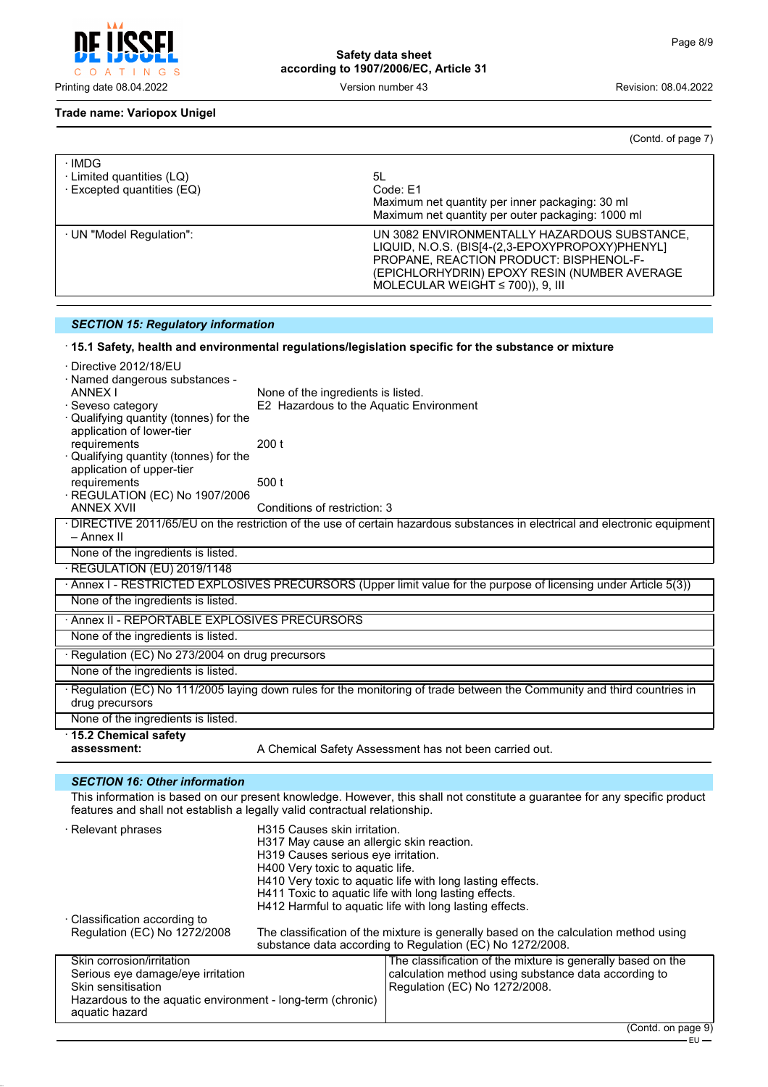

aquatic hazard

**Safety data sheet according to 1907/2006/EC, Article 31**

(Contd. of page 7)

## **Trade name: Variopox Unigel**

| · IMDG<br>· Limited quantities (LQ)<br>$\cdot$ Excepted quantities (EQ) | 5L<br>Code: E1<br>Maximum net quantity per inner packaging: 30 ml<br>Maximum net quantity per outer packaging: 1000 ml                                                                                                              |
|-------------------------------------------------------------------------|-------------------------------------------------------------------------------------------------------------------------------------------------------------------------------------------------------------------------------------|
| · UN "Model Regulation":                                                | UN 3082 ENVIRONMENTALLY HAZARDOUS SUBSTANCE,<br>LIQUID, N.O.S. (BIS[4-(2,3-EPOXYPROPOXY)PHENYL]<br>PROPANE, REACTION PRODUCT: BISPHENOL-F-<br>(EPICHLORHYDRIN) EPOXY RESIN (NUMBER AVERAGE<br>MOLECULAR WEIGHT $\leq$ 700)), 9, III |

# *SECTION 15: Regulatory information*

## · **15.1 Safety, health and environmental regulations/legislation specific for the substance or mixture**

| · Directive 2012/18/EU                                                                                           |                                                                                                                                                                                                                    |                                                                                                                             |  |  |  |
|------------------------------------------------------------------------------------------------------------------|--------------------------------------------------------------------------------------------------------------------------------------------------------------------------------------------------------------------|-----------------------------------------------------------------------------------------------------------------------------|--|--|--|
| · Named dangerous substances -                                                                                   |                                                                                                                                                                                                                    |                                                                                                                             |  |  |  |
| ANNEX I                                                                                                          | None of the ingredients is listed.<br>E2 Hazardous to the Aquatic Environment                                                                                                                                      |                                                                                                                             |  |  |  |
| Seveso category<br>Qualifying quantity (tonnes) for the                                                          |                                                                                                                                                                                                                    |                                                                                                                             |  |  |  |
| application of lower-tier                                                                                        |                                                                                                                                                                                                                    |                                                                                                                             |  |  |  |
| requirements                                                                                                     | 200 <sub>t</sub>                                                                                                                                                                                                   |                                                                                                                             |  |  |  |
| Qualifying quantity (tonnes) for the                                                                             |                                                                                                                                                                                                                    |                                                                                                                             |  |  |  |
| application of upper-tier                                                                                        |                                                                                                                                                                                                                    |                                                                                                                             |  |  |  |
| requirements                                                                                                     | 500 t                                                                                                                                                                                                              |                                                                                                                             |  |  |  |
| REGULATION (EC) No 1907/2006<br><b>ANNEX XVII</b>                                                                | Conditions of restriction: 3                                                                                                                                                                                       |                                                                                                                             |  |  |  |
|                                                                                                                  |                                                                                                                                                                                                                    | · DIRECTIVE 2011/65/EU on the restriction of the use of certain hazardous substances in electrical and electronic equipment |  |  |  |
| – Annex II                                                                                                       |                                                                                                                                                                                                                    |                                                                                                                             |  |  |  |
| None of the ingredients is listed.                                                                               |                                                                                                                                                                                                                    |                                                                                                                             |  |  |  |
| · REGULATION (EU) 2019/1148                                                                                      |                                                                                                                                                                                                                    |                                                                                                                             |  |  |  |
| · Annex I - RESTRICTED EXPLOSIVES PRECURSORS (Upper limit value for the purpose of licensing under Article 5(3)) |                                                                                                                                                                                                                    |                                                                                                                             |  |  |  |
| None of the ingredients is listed.                                                                               |                                                                                                                                                                                                                    |                                                                                                                             |  |  |  |
| Annex II - REPORTABLE EXPLOSIVES PRECURSORS                                                                      |                                                                                                                                                                                                                    |                                                                                                                             |  |  |  |
| None of the ingredients is listed.                                                                               |                                                                                                                                                                                                                    |                                                                                                                             |  |  |  |
| · Regulation (EC) No 273/2004 on drug precursors                                                                 |                                                                                                                                                                                                                    |                                                                                                                             |  |  |  |
| None of the ingredients is listed.                                                                               |                                                                                                                                                                                                                    |                                                                                                                             |  |  |  |
|                                                                                                                  |                                                                                                                                                                                                                    | Regulation (EC) No 111/2005 laying down rules for the monitoring of trade between the Community and third countries in      |  |  |  |
| drug precursors                                                                                                  |                                                                                                                                                                                                                    |                                                                                                                             |  |  |  |
| None of the ingredients is listed.                                                                               |                                                                                                                                                                                                                    |                                                                                                                             |  |  |  |
| 15.2 Chemical safety<br>assessment:                                                                              |                                                                                                                                                                                                                    | A Chemical Safety Assessment has not been carried out.                                                                      |  |  |  |
|                                                                                                                  |                                                                                                                                                                                                                    |                                                                                                                             |  |  |  |
| <b>SECTION 16: Other information</b>                                                                             |                                                                                                                                                                                                                    |                                                                                                                             |  |  |  |
|                                                                                                                  |                                                                                                                                                                                                                    | This information is based on our present knowledge. However, this shall not constitute a guarantee for any specific product |  |  |  |
| features and shall not establish a legally valid contractual relationship.                                       |                                                                                                                                                                                                                    |                                                                                                                             |  |  |  |
| · Relevant phrases                                                                                               | H315 Causes skin irritation.<br>H317 May cause an allergic skin reaction.<br>H319 Causes serious eye irritation.<br>H400 Very toxic to aquatic life.<br>H410 Very toxic to aquatic life with long lasting effects. |                                                                                                                             |  |  |  |
|                                                                                                                  |                                                                                                                                                                                                                    |                                                                                                                             |  |  |  |
|                                                                                                                  |                                                                                                                                                                                                                    |                                                                                                                             |  |  |  |
|                                                                                                                  |                                                                                                                                                                                                                    |                                                                                                                             |  |  |  |
|                                                                                                                  | H411 Toxic to aquatic life with long lasting effects.                                                                                                                                                              |                                                                                                                             |  |  |  |
|                                                                                                                  |                                                                                                                                                                                                                    | H412 Harmful to aquatic life with long lasting effects.                                                                     |  |  |  |
| · Classification according to                                                                                    |                                                                                                                                                                                                                    |                                                                                                                             |  |  |  |
| Regulation (EC) No 1272/2008                                                                                     | The classification of the mixture is generally based on the calculation method using<br>substance data according to Regulation (EC) No 1272/2008.                                                                  |                                                                                                                             |  |  |  |
|                                                                                                                  |                                                                                                                                                                                                                    |                                                                                                                             |  |  |  |
| Skin corrosion/irritation                                                                                        |                                                                                                                                                                                                                    | The classification of the mixture is generally based on the                                                                 |  |  |  |
| Serious eye damage/eye irritation                                                                                |                                                                                                                                                                                                                    | calculation method using substance data according to                                                                        |  |  |  |
| Skin sensitisation<br>Hazardous to the aquatic environment - long-term (chronic)                                 |                                                                                                                                                                                                                    | Regulation (EC) No 1272/2008.                                                                                               |  |  |  |